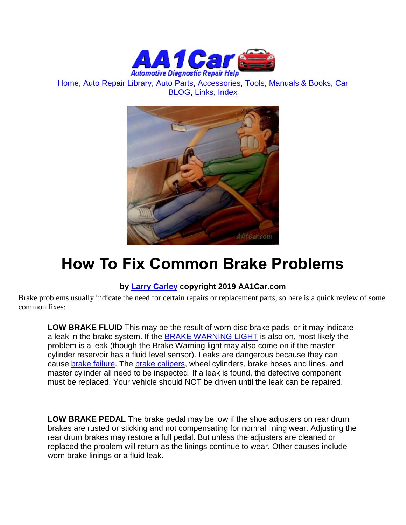

[Home,](http://www.aa1car.com/) [Auto Repair Library,](http://www.aa1car.com/library.htm) [Auto Parts,](http://www.aa1car.com/links_parts.htm) [Accessories,](http://www.aa1car.com/links_accessories.htm) [Tools,](http://www.aa1car.com/links_tools.htm) [Manuals & Books,](http://www.aa1car.com/links_books.htm) [Car](http://www.aa1car.com/blog/blog.htm)  [BLOG,](http://www.aa1car.com/blog/blog.htm) [Links,](http://www.aa1car.com/links.htm) [Index](http://www.aa1car.com/index_alphabetical.htm)



## **How To Fix Common Brake Problems**

## **by [Larry Carley](https://www.aa1car.com/larrypage/larrycarley_photos.htm) copyright 2019 AA1Car.com**

Brake problems usually indicate the need for certain repairs or replacement parts, so here is a quick review of some common fixes:

**LOW BRAKE FLUID** This may be the result of worn disc brake pads, or it may indicate a leak in the brake system. If the [BRAKE WARNING LIGHT](http://www.aa1car.com/library/brake_warning_light_on.htm) is also on, most likely the problem is a leak (though the Brake Warning light may also come on if the master cylinder reservoir has a fluid level sensor). Leaks are dangerous because they can cause [brake failure.](http://www.aa1car.com/library/no_brakes.htm) The [brake calipers,](http://www.aa1car.com/library/brake_calipers.htm) wheel cylinders, brake hoses and lines, and master cylinder all need to be inspected. If a leak is found, the defective component must be replaced. Your vehicle should NOT be driven until the leak can be repaired.

**LOW BRAKE PEDAL** The brake pedal may be low if the shoe adjusters on rear drum brakes are rusted or sticking and not compensating for normal lining wear. Adjusting the rear drum brakes may restore a full pedal. But unless the adjusters are cleaned or replaced the problem will return as the linings continue to wear. Other causes include worn brake linings or a fluid leak.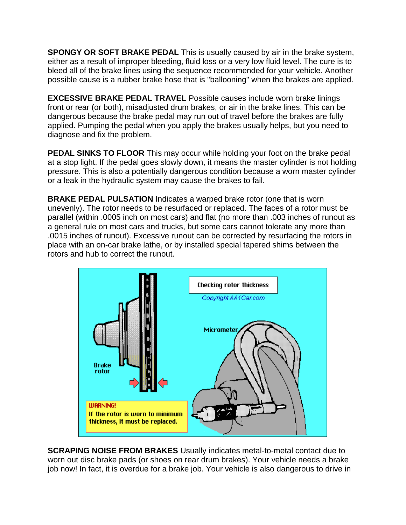**SPONGY OR SOFT BRAKE PEDAL** This is usually caused by air in the brake system, either as a result of improper bleeding, fluid loss or a very low fluid level. The cure is to bleed all of the brake lines using the sequence recommended for your vehicle. Another possible cause is a rubber brake hose that is "ballooning" when the brakes are applied.

**EXCESSIVE BRAKE PEDAL TRAVEL** Possible causes include worn brake linings front or rear (or both), misadjusted drum brakes, or air in the brake lines. This can be dangerous because the brake pedal may run out of travel before the brakes are fully applied. Pumping the pedal when you apply the brakes usually helps, but you need to diagnose and fix the problem.

**PEDAL SINKS TO FLOOR** This may occur while holding your foot on the brake pedal at a stop light. If the pedal goes slowly down, it means the master cylinder is not holding pressure. This is also a potentially dangerous condition because a worn master cylinder or a leak in the hydraulic system may cause the brakes to fail.

**BRAKE PEDAL PULSATION** Indicates a warped brake rotor (one that is worn unevenly). The rotor needs to be resurfaced or replaced. The faces of a rotor must be parallel (within .0005 inch on most cars) and flat (no more than .003 inches of runout as a general rule on most cars and trucks, but some cars cannot tolerate any more than .0015 inches of runout). Excessive runout can be corrected by resurfacing the rotors in place with an on-car brake lathe, or by installed special tapered shims between the rotors and hub to correct the runout.



**SCRAPING NOISE FROM BRAKES** Usually indicates metal-to-metal contact due to worn out disc brake pads (or shoes on rear drum brakes). Your vehicle needs a brake job now! In fact, it is overdue for a brake job. Your vehicle is also dangerous to drive in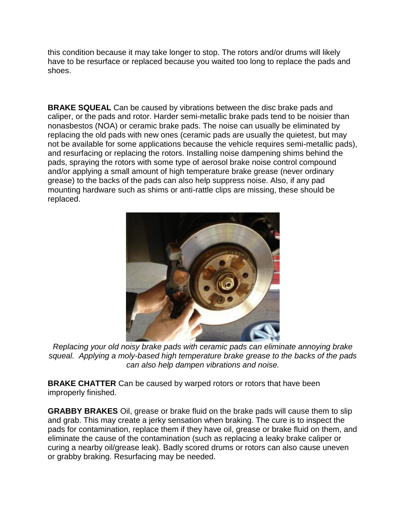this condition because it may take longer to stop. The rotors and/or drums will likely have to be resurface or replaced because you waited too long to replace the pads and shoes.

**BRAKE SQUEAL** Can be caused by vibrations between the disc brake pads and caliper, or the pads and rotor. Harder semi-metallic brake pads tend to be noisier than nonasbestos (NOA) or ceramic brake pads. The noise can usually be eliminated by replacing the old pads with new ones (ceramic pads are usually the quietest, but may not be available for some applications because the vehicle requires semi-metallic pads), and resurfacing or replacing the rotors. Installing noise dampening shims behind the pads, spraying the rotors with some type of aerosol brake noise control compound and/or applying a small amount of high temperature brake grease (never ordinary grease) to the backs of the pads can also help suppress noise. Also, if any pad mounting hardware such as shims or anti-rattle clips are missing, these should be replaced.



*Replacing your old noisy brake pads with ceramic pads can eliminate annoying brake squeal. Applying a moly-based high temperature brake grease to the backs of the pads can also help dampen vibrations and noise.*

**BRAKE CHATTER** Can be caused by warped rotors or rotors that have been improperly finished.

**GRABBY BRAKES** Oil, grease or brake fluid on the brake pads will cause them to slip and grab. This may create a jerky sensation when braking. The cure is to inspect the pads for contamination, replace them if they have oil, grease or brake fluid on them, and eliminate the cause of the contamination (such as replacing a leaky brake caliper or curing a nearby oil/grease leak). Badly scored drums or rotors can also cause uneven or grabby braking. Resurfacing may be needed.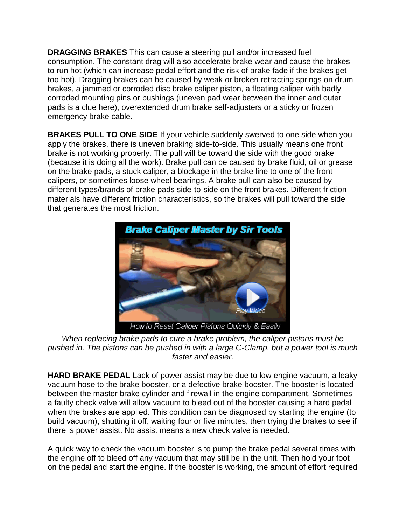**DRAGGING BRAKES** This can cause a steering pull and/or increased fuel consumption. The constant drag will also accelerate brake wear and cause the brakes to run hot (which can increase pedal effort and the risk of brake fade if the brakes get too hot). Dragging brakes can be caused by weak or broken retracting springs on drum brakes, a jammed or corroded disc brake caliper piston, a floating caliper with badly corroded mounting pins or bushings (uneven pad wear between the inner and outer pads is a clue here), overextended drum brake self-adjusters or a sticky or frozen emergency brake cable.

**BRAKES PULL TO ONE SIDE** If your vehicle suddenly swerved to one side when you apply the brakes, there is uneven braking side-to-side. This usually means one front brake is not working properly. The pull will be toward the side with the good brake (because it is doing all the work). Brake pull can be caused by brake fluid, oil or grease on the brake pads, a stuck caliper, a blockage in the brake line to one of the front calipers, or sometimes loose wheel bearings. A brake pull can also be caused by different types/brands of brake pads side-to-side on the front brakes. Different friction materials have different friction characteristics, so the brakes will pull toward the side that generates the most friction.



*When replacing brake pads to cure a brake problem, the caliper pistons must be pushed in. The pistons can be pushed in with a large C-Clamp, but a power tool is much faster and easier.*

**HARD BRAKE PEDAL** Lack of power assist may be due to low engine vacuum, a leaky vacuum hose to the brake booster, or a defective brake booster. The booster is located between the master brake cylinder and firewall in the engine compartment. Sometimes a faulty check valve will allow vacuum to bleed out of the booster causing a hard pedal when the brakes are applied. This condition can be diagnosed by starting the engine (to build vacuum), shutting it off, waiting four or five minutes, then trying the brakes to see if there is power assist. No assist means a new check valve is needed.

A quick way to check the vacuum booster is to pump the brake pedal several times with the engine off to bleed off any vacuum that may still be in the unit. Then hold your foot on the pedal and start the engine. If the booster is working, the amount of effort required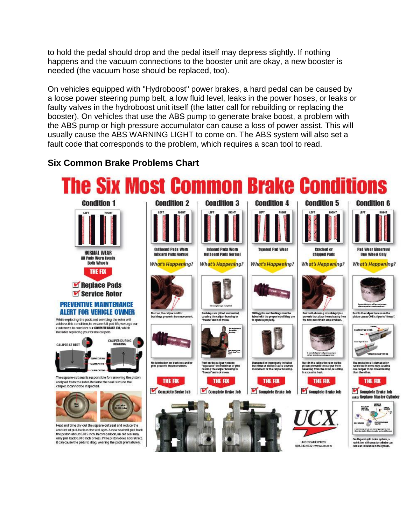to hold the pedal should drop and the pedal itself may depress slightly. If nothing happens and the vacuum connections to the booster unit are okay, a new booster is needed (the vacuum hose should be replaced, too).

On vehicles equipped with "Hydroboost" power brakes, a hard pedal can be caused by a loose power steering pump belt, a low fluid level, leaks in the power hoses, or leaks or faulty valves in the hydroboost unit itself (the latter call for rebuilding or replacing the booster). On vehicles that use the ABS pump to generate brake boost, a problem with the ABS pump or high pressure accumulator can cause a loss of power assist. This will usually cause the ABS WARNING LIGHT to come on. The ABS system will also set a fault code that corresponds to the problem, which requires a scan tool to read.

## **Six Common Brake Problems Chart**

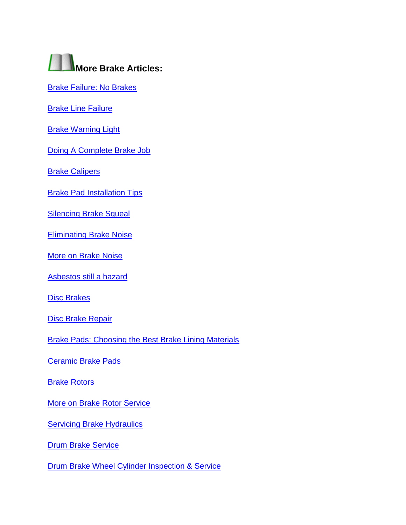

[Brake Failure: No Brakes](http://www.aa1car.com/library/no_brakes.htm)

**[Brake Line Failure](http://www.aa1car.com/library/brake_line_failure.htm)** 

[Brake Warning Light](http://www.aa1car.com/library/brake_warning_light_on.htm)

[Doing A Complete Brake Job](http://www.aa1car.com/library/brakefix.htm)

**[Brake Calipers](http://www.aa1car.com/library/brake_calipers.htm)** 

**[Brake Pad Installation Tips](http://www.aa1car.com/library/brake_pad_installation_tips.htm)** 

**[Silencing Brake Squeal](http://www.aa1car.com/library/bsqueal.htm)** 

[Eliminating Brake Noise](http://www.aa1car.com/library/tr996.htm)

[More on Brake Noise](http://www.aa1car.com/library/2003/bf90318.htm)

[Asbestos still a hazard](http://www.aa1car.com/library/trtu796.htm) 

[Disc Brakes](http://www.aa1car.com/library/disc_brakes.htm)

[Disc Brake Repair](http://www.aa1car.com/library/disc_brake_repair.htm)

[Brake Pads: Choosing the Best Brake Lining Materials](http://www.aa1car.com/library/2004/ic10422.htm)

[Ceramic Brake Pads](http://www.aa1car.com/library/ceramic.htm)

**[Brake Rotors](http://www.aa1car.com/library/brake_rotors.htm)** 

[More on Brake Rotor Service](http://www.aa1car.com/library/2003/bf110322.htm)

**[Servicing Brake Hydraulics](http://www.aa1car.com/library/2004/ic30444.htm)** 

**[Drum Brake Service](http://www.aa1car.com/library/drum_brakes.htm)** 

[Drum Brake Wheel Cylinder Inspection & Service](http://www.aa1car.com/library/2003/bf60330.htm)